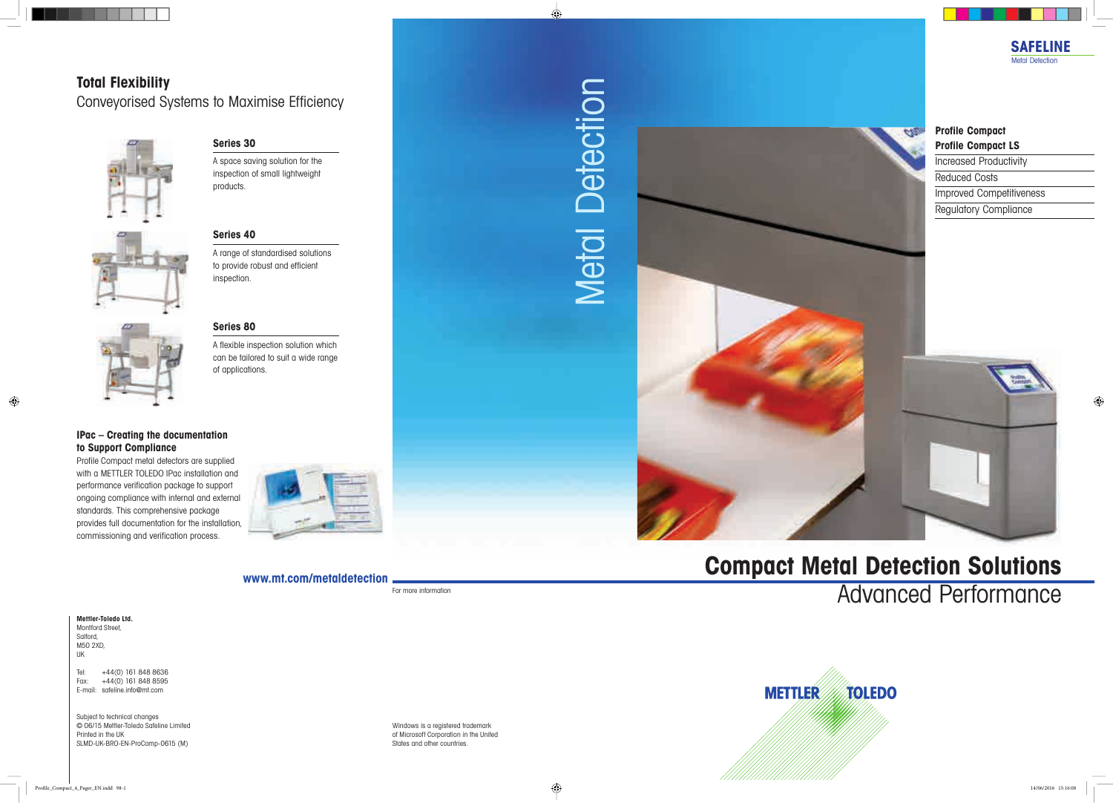**www.mt.com/metaldetection**

For more information

# **Compact Metal Detection Solutions** Advanced Performance



# Metal Detection Metal Detection



Windows is a registered trademark of Microsoft Corporation in the United States and other countries.

## **Total Flexibility** Conveyorised Systems to Maximise Efficiency



#### **Profile Compact Profile Compact LS**

Increased Productivity Reduced Costs Improved Competitiveness Regulatory Compliance





**METTLER** 

A space saving solution for the inspection of small lightweight products.



#### **IPac – Creating the documentation to Support Compliance**

Profile Compact metal detectors are supplied with a METTLER TOLEDO IPac installation and performance verification package to support ongoing compliance with internal and external standards. This comprehensive package provides full documentation for the installation, commissioning and verification process.



#### **Series 30**

#### **Series 40**

A range of standardised solutions to provide robust and efficient inspection.

#### **Series 80**

A flexible inspection solution which can be tailored to suit a wide range of applications.



#### **Mettler-Toledo Ltd.**

Montford Street, Salford, M50 2XD, UK

Tel: +44(0) 161 848 8636 Fax: +44(0) 161 848 8595 E-mail: safeline.info@mt.com

Subject to technical changes © 06/15 Mettler-Toledo Safeline Limited Printed in the UK SLMD-UK-BRO-EN-ProComp-0615 (M)